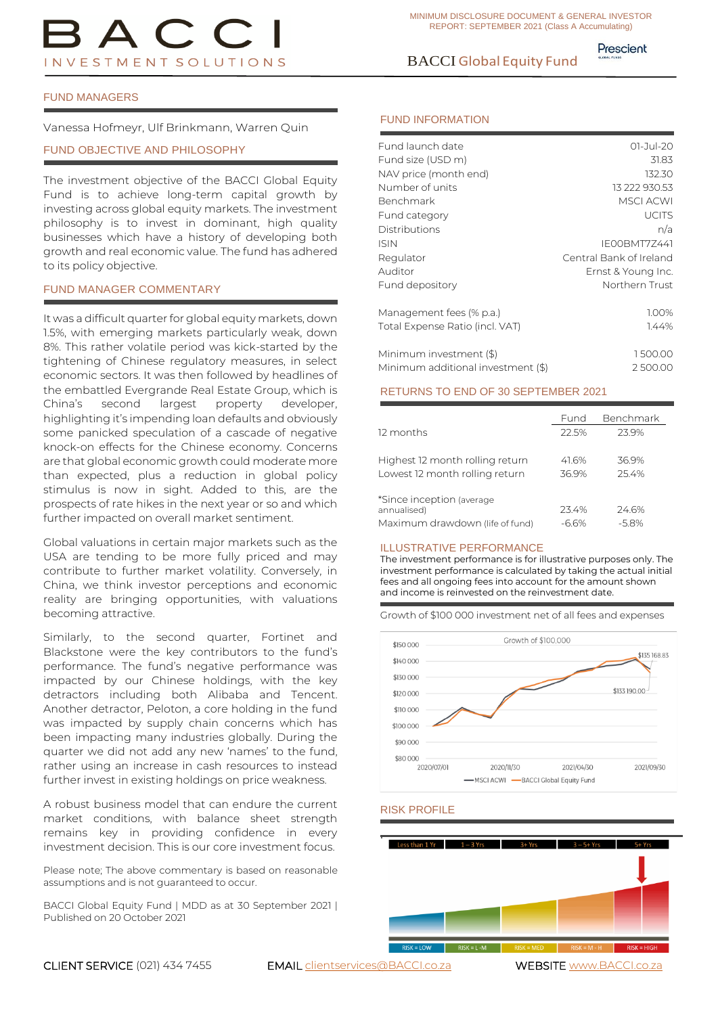# BACCI Global Equity Fund

Prescient

### FUND MANAGERS

Vanessa Hofmeyr, Ulf Brinkmann, Warren Quin

### FUND OBJECTIVE AND PHILOSOPHY

The investment objective of the BACCI Global Equity Fund is to achieve long-term capital growth by investing across global equity markets. The investment philosophy is to invest in dominant, high quality businesses which have a history of developing both growth and real economic value. The fund has adhered to its policy objective.

### FUND MANAGER COMMENTARY

It was a difficult quarter for global equity markets, down 1.5%, with emerging markets particularly weak, down 8%. This rather volatile period was kick-started by the tightening of Chinese regulatory measures, in select economic sectors. It was then followed by headlines of the embattled Evergrande Real Estate Group, which is China's second largest property developer, highlighting it's impending loan defaults and obviously some panicked speculation of a cascade of negative knock-on effects for the Chinese economy. Concerns are that global economic growth could moderate more than expected, plus a reduction in global policy stimulus is now in sight. Added to this, are the prospects of rate hikes in the next year or so and which further impacted on overall market sentiment.

Global valuations in certain major markets such as the USA are tending to be more fully priced and may contribute to further market volatility. Conversely, in China, we think investor perceptions and economic reality are bringing opportunities, with valuations becoming attractive.

Similarly, to the second quarter, Fortinet and Blackstone were the key contributors to the fund's performance. The fund's negative performance was impacted by our Chinese holdings, with the key detractors including both Alibaba and Tencent. Another detractor, Peloton, a core holding in the fund was impacted by supply chain concerns which has been impacting many industries globally. During the quarter we did not add any new 'names' to the fund, rather using an increase in cash resources to instead further invest in existing holdings on price weakness.

A robust business model that can endure the current market conditions, with balance sheet strength remains key in providing confidence in every investment decision. This is our core investment focus.

Please note; The above commentary is based on reasonable assumptions and is not guaranteed to occur.

BACCI Global Equity Fund | MDD as at 30 September 2021 | Published on 20 October 2021

### FUND INFORMATION

| Fund launch date                   | $01 - Jul - 20$         |
|------------------------------------|-------------------------|
| Fund size (USD m)                  | 31.83                   |
| NAV price (month end)              | 132.30                  |
| Number of units                    | 13 222 930.53           |
| Benchmark                          | <b>MSCI ACWI</b>        |
| Fund category                      | <b>UCITS</b>            |
| Distributions                      | n/a                     |
| <b>ISIN</b>                        | IF00BMT77441            |
| Regulator                          | Central Bank of Ireland |
| Auditor                            | Ernst & Young Inc.      |
| Fund depository                    | Northern Trust          |
| Management fees (% p.a.)           | 1.00%                   |
| Total Expense Ratio (incl. VAT)    | 1.44%                   |
| Minimum investment (\$)            | 1500.00                 |
| Minimum additional investment (\$) | 2500.00                 |

### RETURNS TO END OF 30 SEPTEMBER 2021

|                                 | Fund    | Benchmark |
|---------------------------------|---------|-----------|
| 12 months                       | 22.5%   | 239%      |
|                                 |         |           |
| Highest 12 month rolling return | 41.6%   | 36.9%     |
| Lowest 12 month rolling return  | 36.9%   | 25.4%     |
|                                 |         |           |
| *Since inception (average)      |         |           |
| annualised)                     | 23.4%   | 24.6%     |
| Maximum drawdown (life of fund) | $-6.6%$ | $-5.8\%$  |

### ILLUSTRATIVE PERFORMANCE

The investment performance is for illustrative purposes only. The investment performance is calculated by taking the actual initial fees and all ongoing fees into account for the amount shown and income is reinvested on the reinvestment date.

Growth of \$100 000 investment net of all fees and expenses



### RISK PROFILE

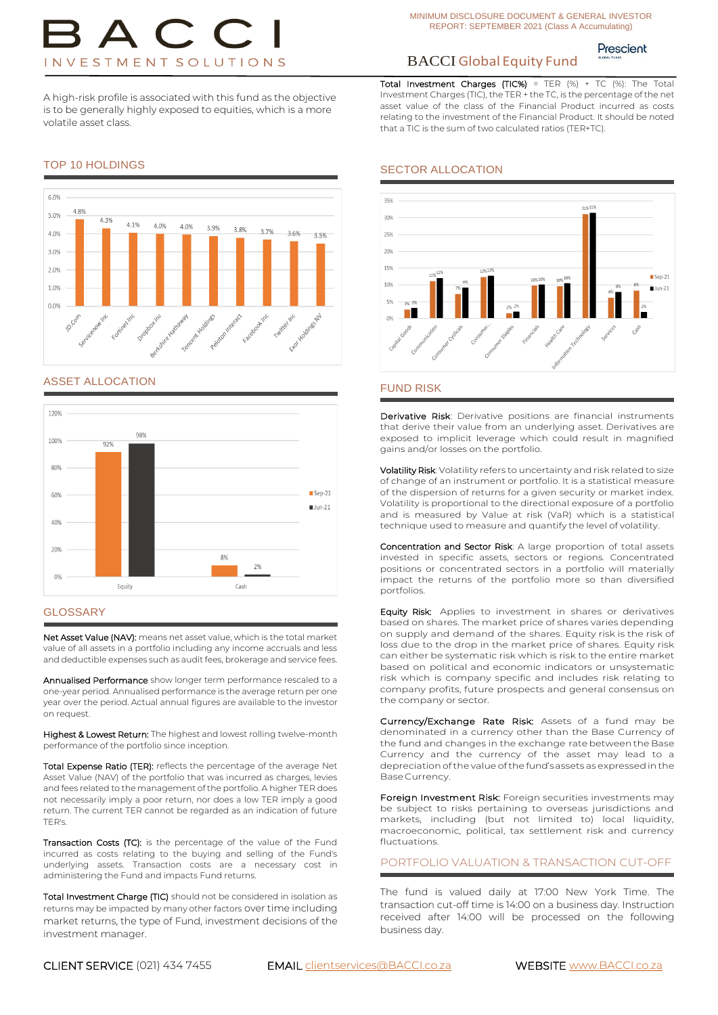Prescient

Total Investment Charges (TIC%) = TER  $(\%)$  + TC  $(\%)$ : The Total Investment Charges (TIC), the TER + the TC, is the percentage of the net asset value of the class of the Financial Product incurred as costs relating to the investment of the Financial Product. It should be noted

## BACCI Global Equity Fund

that a TIC is the sum of two calculated ratios (TER+TC).

SECTOR ALLOCATION

A high-risk profile is associated with this fund as the objective is to be generally highly exposed to equities, which is a more volatile asset class.

#### 6.0% 4.8% 5.0% 4.3% 4 1%  $\Lambda$  0% 4.0% 3.9% 3.8% 3.7%  $4.0%$ 3.6% 3.5%  $30%$  $20%$ 1.0%  $0.0%$ Fortinety Facebook1 Twitter! Dropopot encent Holdin hive Hatha aloton inte

### ASSET ALLOCATION



### **GLOSSARY**

Net Asset Value (NAV): means net asset value, which is the total market value of all assets in a portfolio including any income accruals and less and deductible expenses such as audit fees, brokerage and service fees.

Annualised Performance show longer term performance rescaled to a one-year period. Annualised performance is the average return per one year over the period. Actual annual figures are available to the investor on request.

Highest & Lowest Return: The highest and lowest rolling twelve-month performance of the portfolio since inception.

Total Expense Ratio (TER): reflects the percentage of the average Net Asset Value (NAV) of the portfolio that was incurred as charges, levies and fees related to the management of the portfolio. A higher TER does not necessarily imply a poor return, nor does a low TER imply a good return. The current TER cannot be regarded as an indication of future TER's.

Transaction Costs (TC): is the percentage of the value of the Fund incurred as costs relating to the buying and selling of the Fund's underlying assets. Transaction costs are a necessary cost in administering the Fund and impacts Fund returns.

Total Investment Charge (TIC) should not be considered in isolation as returns may be impacted by many other factors over time including market returns, the type of Fund, investment decisions of the investment manager.

35% 31%319 30% 25%  $20%$ 159  $San.21$ 

### FUND RISK

Derivative Risk: Derivative positions are financial instruments that derive their value from an underlying asset. Derivatives are exposed to implicit leverage which could result in magnified gains and/or losses on the portfolio.

Volatility Risk: Volatility refers to uncertainty and risk related to size of change of an instrument or portfolio. It is a statistical measure of the dispersion of returns for a given security or market index. Volatility is proportional to the directional exposure of a portfolio and is measured by Value at risk (VaR) which is a statistical technique used to measure and quantify the level of volatility.

Concentration and Sector Risk: A large proportion of total assets invested in specific assets, sectors or regions. Concentrated positions or concentrated sectors in a portfolio will materially impact the returns of the portfolio more so than diversified portfolios.

Equity Risk: Applies to investment in shares or derivatives based on shares. The market price of shares varies depending on supply and demand of the shares. Equity risk is the risk of loss due to the drop in the market price of shares. Equity risk can either be systematic risk which is risk to the entire market based on political and economic indicators or unsystematic risk which is company specific and includes risk relating to company profits, future prospects and general consensus on the company or sector.

Currency/Exchange Rate Risk: Assets of a fund may be denominated in a currency other than the Base Currency of the fund and changes in the exchange rate betweenthe Base Currency and the currency of the asset may lead to a depreciation of the value of the fund's assets as expressed in the BaseCurrency.

Foreign Investment Risk: Foreign securities investments may be subject to risks pertaining to overseas jurisdictions and markets, including (but not limited to) local liquidity, macroeconomic, political, tax settlement risk and currency fluctuations.

PORTFOLIO VALUATION & TRANSACTION CUT-OFF

The fund is valued daily at 17:00 New York Time. The transaction cut-off time is 14:00 on a business day. Instruction received after 14:00 will be processed on the following business day.

### TOP 10 HOLDINGS